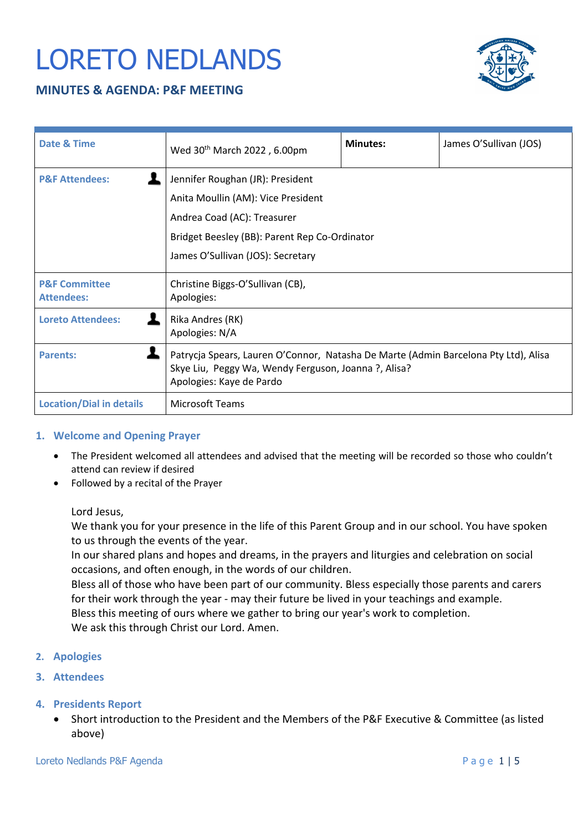# LORETO NEDLANDS

## **MINUTES & AGENDA: P&F MEETING**



| Date & Time                                   | Wed 30 <sup>th</sup> March 2022, 6.00pm                                                                                                                                                     | <b>Minutes:</b> | James O'Sullivan (JOS) |
|-----------------------------------------------|---------------------------------------------------------------------------------------------------------------------------------------------------------------------------------------------|-----------------|------------------------|
| <b>P&amp;F Attendees:</b>                     | Jennifer Roughan (JR): President<br>Anita Moullin (AM): Vice President<br>Andrea Coad (AC): Treasurer<br>Bridget Beesley (BB): Parent Rep Co-Ordinator<br>James O'Sullivan (JOS): Secretary |                 |                        |
| <b>P&amp;F Committee</b><br><b>Attendees:</b> | Christine Biggs-O'Sullivan (CB),<br>Apologies:                                                                                                                                              |                 |                        |
| <b>Loreto Attendees:</b>                      | Rika Andres (RK)<br>Apologies: N/A                                                                                                                                                          |                 |                        |
| <b>Parents:</b>                               | Patrycja Spears, Lauren O'Connor, Natasha De Marte (Admin Barcelona Pty Ltd), Alisa<br>Skye Liu, Peggy Wa, Wendy Ferguson, Joanna ?, Alisa?<br>Apologies: Kaye de Pardo                     |                 |                        |
| <b>Location/Dial in details</b>               | <b>Microsoft Teams</b>                                                                                                                                                                      |                 |                        |

#### **1. Welcome and Opening Prayer**

- The President welcomed all attendees and advised that the meeting will be recorded so those who couldn't attend can review if desired
- Followed by a recital of the Prayer

Lord Jesus,

We thank you for your presence in the life of this Parent Group and in our school. You have spoken to us through the events of the year.

In our shared plans and hopes and dreams, in the prayers and liturgies and celebration on social occasions, and often enough, in the words of our children.

Bless all of those who have been part of our community. Bless especially those parents and carers for their work through the year - may their future be lived in your teachings and example. Bless this meeting of ours where we gather to bring our year's work to completion.

We ask this through Christ our Lord. Amen.

- **2. Apologies**
- **3. Attendees**
- **4. Presidents Report**
	- Short introduction to the President and the Members of the P&F Executive & Committee (as listed above)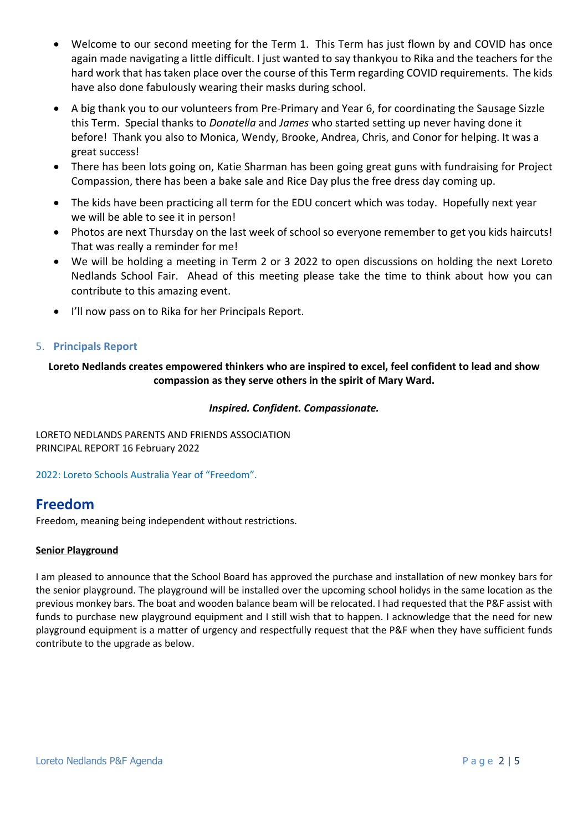- Welcome to our second meeting for the Term 1. This Term has just flown by and COVID has once again made navigating a little difficult. I just wanted to say thankyou to Rika and the teachers for the hard work that has taken place over the course of this Term regarding COVID requirements. The kids have also done fabulously wearing their masks during school.
- A big thank you to our volunteers from Pre-Primary and Year 6, for coordinating the Sausage Sizzle this Term. Special thanks to *Donatella* and *James* who started setting up never having done it before! Thank you also to Monica, Wendy, Brooke, Andrea, Chris, and Conor for helping. It was a great success!
- There has been lots going on, Katie Sharman has been going great guns with fundraising for Project Compassion, there has been a bake sale and Rice Day plus the free dress day coming up.
- The kids have been practicing all term for the EDU concert which was today. Hopefully next year we will be able to see it in person!
- Photos are next Thursday on the last week of school so everyone remember to get you kids haircuts! That was really a reminder for me!
- We will be holding a meeting in Term 2 or 3 2022 to open discussions on holding the next Loreto Nedlands School Fair. Ahead of this meeting please take the time to think about how you can contribute to this amazing event.
- I'll now pass on to Rika for her Principals Report.

#### 5. **Principals Report**

## **Loreto Nedlands creates empowered thinkers who are inspired to excel, feel confident to lead and show compassion as they serve others in the spirit of Mary Ward.**

#### *Inspired. Confident. Compassionate.*

LORETO NEDLANDS PARENTS AND FRIENDS ASSOCIATION PRINCIPAL REPORT 16 February 2022

2022: Loreto Schools Australia Year of "Freedom".

## **Freedom**

Freedom, meaning being independent without restrictions.

#### **Senior Playground**

I am pleased to announce that the School Board has approved the purchase and installation of new monkey bars for the senior playground. The playground will be installed over the upcoming school holidys in the same location as the previous monkey bars. The boat and wooden balance beam will be relocated. I had requested that the P&F assist with funds to purchase new playground equipment and I still wish that to happen. I acknowledge that the need for new playground equipment is a matter of urgency and respectfully request that the P&F when they have sufficient funds contribute to the upgrade as below.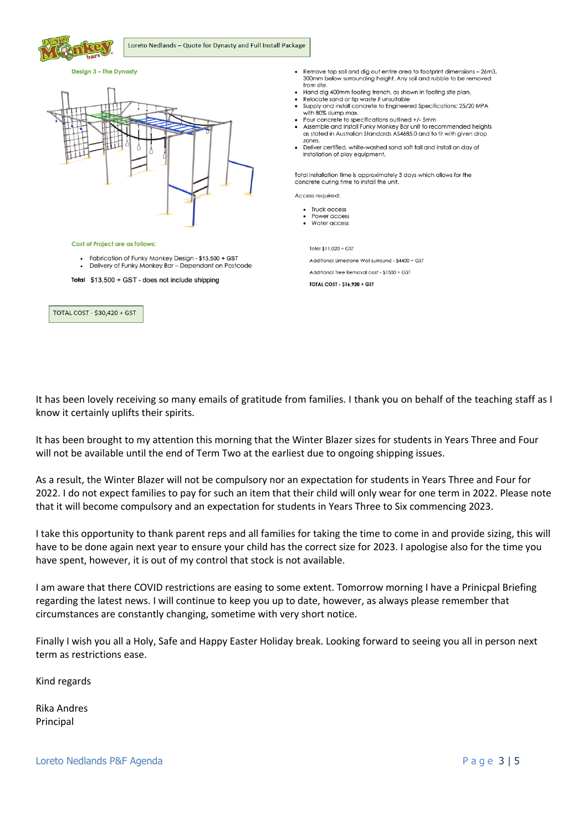

#### Design 3 - The Dynasty



- Remove top soil and dig out entire area to footprint dimensions 26m3, 300mm below surrounding height. Any soil and rubble to be removed from site
- Hand dig 400mm footing trench, as shown in footing site plan.
- Relocate sand or tip waste if unsuitable
- Supply and install concrete to Engineered Specifications: 25/20 MPA with 80% slump max.
- Pour concrete to specifications outlined +/- 5mm Assemble and Install Funky Monkey Bar unit to recommended heights as stated in Australian Standards AS4685.0 and to fit with given drop zones
- Deliver certified, white-washed sand soft fall and install on day of installation of play equipment.

Total installation time is approximately 3 days which allows for the concrete curing time to install the unit.

Access required:

- Truck access
- Power access Water access

Total \$11,020 + GST

Additional Limestone Wall surround - \$4400 + GST

Additional Tree Removal cost - \$1500 + GST

TOTAL COST - \$16,920 + GST

It has been lovely receiving so many emails of gratitude from families. I thank you on behalf of the teaching staff as I know it certainly uplifts their spirits.

It has been brought to my attention this morning that the Winter Blazer sizes for students in Years Three and Four will not be available until the end of Term Two at the earliest due to ongoing shipping issues.

As a result, the Winter Blazer will not be compulsory nor an expectation for students in Years Three and Four for 2022. I do not expect families to pay for such an item that their child will only wear for one term in 2022. Please note that it will become compulsory and an expectation for students in Years Three to Six commencing 2023.

I take this opportunity to thank parent reps and all families for taking the time to come in and provide sizing, this will have to be done again next year to ensure your child has the correct size for 2023. I apologise also for the time you have spent, however, it is out of my control that stock is not available.

I am aware that there COVID restrictions are easing to some extent. Tomorrow morning I have a Prinicpal Briefing regarding the latest news. I will continue to keep you up to date, however, as always please remember that circumstances are constantly changing, sometime with very short notice.

Finally I wish you all a Holy, Safe and Happy Easter Holiday break. Looking forward to seeing you all in person next term as restrictions ease.

Kind regards

Rika Andres Principal

Loreto Nedlands P&F Agenda **Page 3 | 5**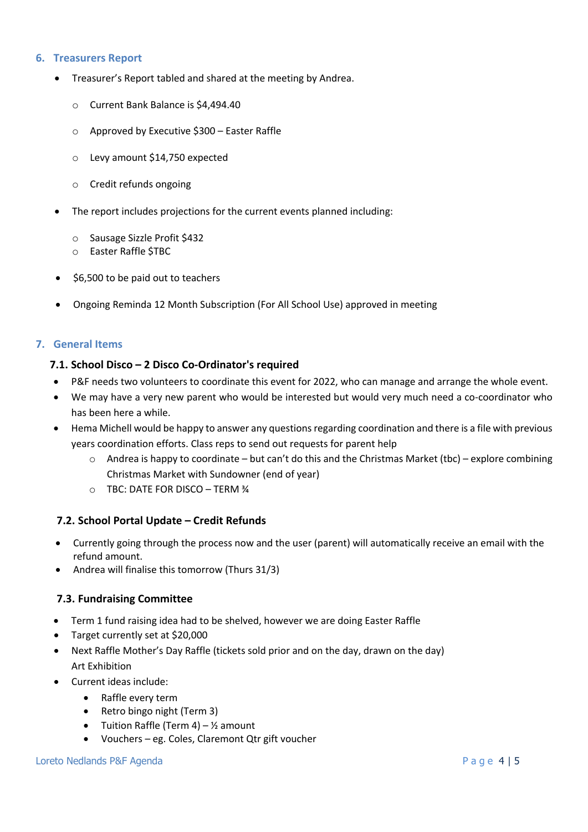#### **6. Treasurers Report**

- Treasurer's Report tabled and shared at the meeting by Andrea.
	- o Current Bank Balance is \$4,494.40
	- o Approved by Executive \$300 Easter Raffle
	- o Levy amount \$14,750 expected
	- o Credit refunds ongoing
- The report includes projections for the current events planned including:
	- o Sausage Sizzle Profit \$432
	- o Easter Raffle \$TBC
- \$6,500 to be paid out to teachers
- Ongoing Reminda 12 Month Subscription (For All School Use) approved in meeting

#### **7. General Items**

#### **7.1. School Disco – 2 Disco Co-Ordinator's required**

- P&F needs two volunteers to coordinate this event for 2022, who can manage and arrange the whole event.
- We may have a very new parent who would be interested but would very much need a co-coordinator who has been here a while.
- Hema Michell would be happy to answer any questions regarding coordination and there is a file with previous years coordination efforts. Class reps to send out requests for parent help
	- o Andrea is happy to coordinate but can't do this and the Christmas Market (tbc) explore combining Christmas Market with Sundowner (end of year)
	- o TBC: DATE FOR DISCO TERM ¾

#### **7.2. School Portal Update – Credit Refunds**

- Currently going through the process now and the user (parent) will automatically receive an email with the refund amount.
- Andrea will finalise this tomorrow (Thurs 31/3)

#### **7.3. Fundraising Committee**

- Term 1 fund raising idea had to be shelved, however we are doing Easter Raffle
- Target currently set at \$20,000
- Next Raffle Mother's Day Raffle (tickets sold prior and on the day, drawn on the day) Art Exhibition
- Current ideas include:
	- Raffle every term
	- Retro bingo night (Term 3)
	- Tuition Raffle (Term 4)  $\frac{1}{2}$  amount
	- Vouchers eg. Coles, Claremont Qtr gift voucher